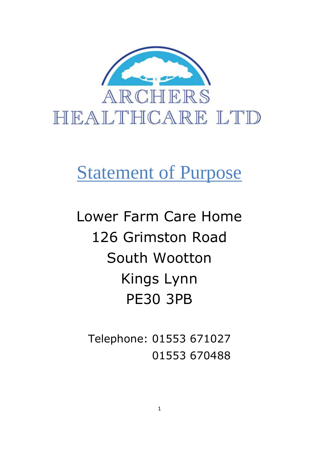

# Statement of Purpose

Lower Farm Care Home 126 Grimston Road South Wootton Kings Lynn PE30 3PB

Telephone: 01553 671027 01553 670488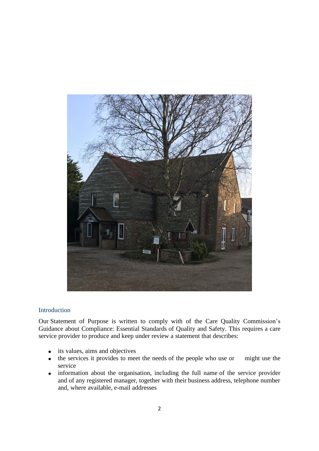

#### Introduction

Our Statement of Purpose is written to comply with of the Care Quality Commission's Guidance about Compliance: Essential Standards of Quality and Safety. This requires a care service provider to produce and keep under review a statement that describes:

- its values, aims and objectives
- the services it provides to meet the needs of the people who use or might use the service
- information about the organisation, including the full name of the service provider and of any registered manager, together with their business address, telephone number and, where available, e-mail addresses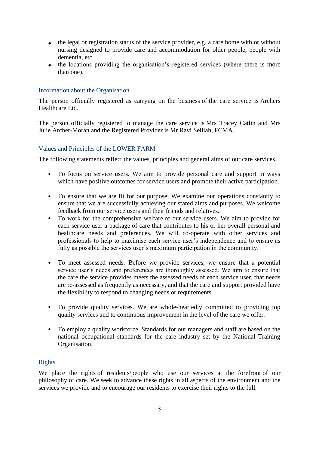- the legal or registration status of the service provider, e.g. a care home with or without nursing designed to provide care and accommodation for older people, people with dementia, etc
- the locations providing the organisation's registered services (where there is more than one).

# Information about the Organisation

The person officially registered as carrying on the business of the care service is Archers Healthcare Ltd.

The person officially registered to manage the care service is Mrs Tracey Catlin and Mrs Julie Archer-Moran and the Registered Provider is Mr Ravi Selliah, FCMA.

# Values and Principles of the LOWER FARM

The following statements reflect the values, principles and general aims of our care services.

- To focus on service users. We aim to provide personal care and support in ways which have positive outcomes for service users and promote their active participation.
- To ensure that we are fit for our purpose. We examine our operations constantly to ensure that we are successfully achieving our stated aims and purposes. We welcome feedback from our service users and their friends and relatives.
- To work for the comprehensive welfare of our service users. We aim to provide for each service user a package of care that contributes to his or her overall personal and healthcare needs and preferences. We will co-operate with other services and professionals to help to maximise each service user's independence and to ensure as fully as possible the services user's maximum participation in the community.
- To meet assessed needs. Before we provide services, we ensure that a potential service user's needs and preferences are thoroughly assessed. We aim to ensure that the care the service provides meets the assessed needs of each service user, that needs are re-assessed as frequently as necessary, and that the care and support provided have the flexibility to respond to changing needs or requirements.
- To provide quality services. We are whole-heartedly committed to providing top quality services and to continuous improvement in the level of the care we offer.
- To employ a quality workforce. Standards for our managers and staff are based on the national occupational standards for the care industry set by the National Training Organisation.

# Rights

We place the rights of residents/people who use our services at the forefront of our philosophy of care. We seek to advance these rights in all aspects of the environment and the services we provide and to encourage our residents to exercise their rights to the full.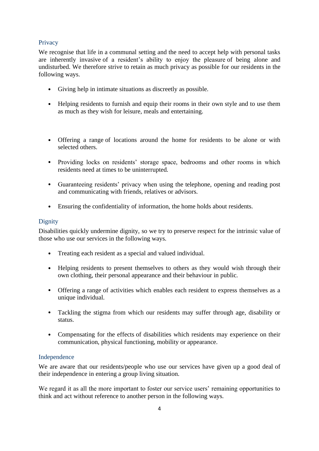# **Privacy**

We recognise that life in a communal setting and the need to accept help with personal tasks are inherently invasive of a resident's ability to enjoy the pleasure of being alone and undisturbed. We therefore strive to retain as much privacy as possible for our residents in the following ways.

- Giving help in intimate situations as discreetly as possible.
- Helping residents to furnish and equip their rooms in their own style and to use them as much as they wish for leisure, meals and entertaining.
- Offering a range of locations around the home for residents to be alone or with selected others.
- Providing locks on residents' storage space, bedrooms and other rooms in which residents need at times to be uninterrupted.
- Guaranteeing residents' privacy when using the telephone, opening and reading post and communicating with friends, relatives or advisors.
- Ensuring the confidentiality of information, the home holds about residents.

# **Dignity**

Disabilities quickly undermine dignity, so we try to preserve respect for the intrinsic value of those who use our services in the following ways.

- Treating each resident as a special and valued individual.
- Helping residents to present themselves to others as they would wish through their own clothing, their personal appearance and their behaviour in public.
- Offering a range of activities which enables each resident to express themselves as a unique individual.
- Tackling the stigma from which our residents may suffer through age, disability or status.
- Compensating for the effects of disabilities which residents may experience on their communication, physical functioning, mobility or appearance.

# Independence

We are aware that our residents/people who use our services have given up a good deal of their independence in entering a group living situation.

We regard it as all the more important to foster our service users' remaining opportunities to think and act without reference to another person in the following ways.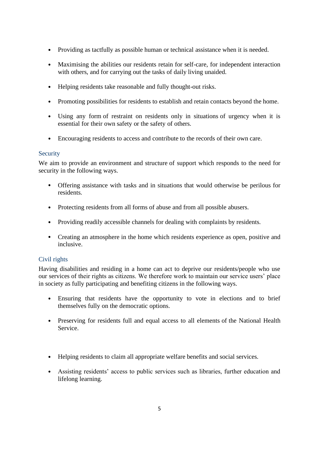- Providing as tactfully as possible human or technical assistance when it is needed.
- Maximising the abilities our residents retain for self-care, for independent interaction with others, and for carrying out the tasks of daily living unaided.
- Helping residents take reasonable and fully thought-out risks.
- Promoting possibilities for residents to establish and retain contacts beyond the home.
- Using any form of restraint on residents only in situations of urgency when it is essential for their own safety or the safety of others.
- Encouraging residents to access and contribute to the records of their own care.

# **Security**

We aim to provide an environment and structure of support which responds to the need for security in the following ways.

- Offering assistance with tasks and in situations that would otherwise be perilous for residents.
- Protecting residents from all forms of abuse and from all possible abusers.
- Providing readily accessible channels for dealing with complaints by residents.
- Creating an atmosphere in the home which residents experience as open, positive and inclusive.

# Civil rights

Having disabilities and residing in a home can act to deprive our residents/people who use our services of their rights as citizens. We therefore work to maintain our service users' place in society as fully participating and benefiting citizens in the following ways.

- Ensuring that residents have the opportunity to vote in elections and to brief themselves fully on the democratic options.
- Preserving for residents full and equal access to all elements of the National Health Service.
- Helping residents to claim all appropriate welfare benefits and social services.
- Assisting residents' access to public services such as libraries, further education and lifelong learning.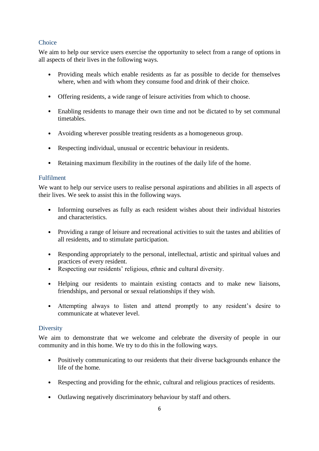# **Choice**

We aim to help our service users exercise the opportunity to select from a range of options in all aspects of their lives in the following ways.

- Providing meals which enable residents as far as possible to decide for themselves where, when and with whom they consume food and drink of their choice.
- Offering residents, a wide range of leisure activities from which to choose.
- Enabling residents to manage their own time and not be dictated to by set communal timetables.
- Avoiding wherever possible treating residents as a homogeneous group.
- Respecting individual, unusual or eccentric behaviour in residents.
- Retaining maximum flexibility in the routines of the daily life of the home.

# Fulfilment

We want to help our service users to realise personal aspirations and abilities in all aspects of their lives. We seek to assist this in the following ways.

- Informing ourselves as fully as each resident wishes about their individual histories and characteristics.
- Providing a range of leisure and recreational activities to suit the tastes and abilities of all residents, and to stimulate participation.
- Responding appropriately to the personal, intellectual, artistic and spiritual values and practices of every resident.
- Respecting our residents' religious, ethnic and cultural diversity.
- Helping our residents to maintain existing contacts and to make new liaisons, friendships, and personal or sexual relationships if they wish.
- Attempting always to listen and attend promptly to any resident's desire to communicate at whatever level.

# **Diversity**

We aim to demonstrate that we welcome and celebrate the diversity of people in our community and in this home. We try to do this in the following ways.

- Positively communicating to our residents that their diverse backgrounds enhance the life of the home.
- Respecting and providing for the ethnic, cultural and religious practices of residents.
- Outlawing negatively discriminatory behaviour by staff and others.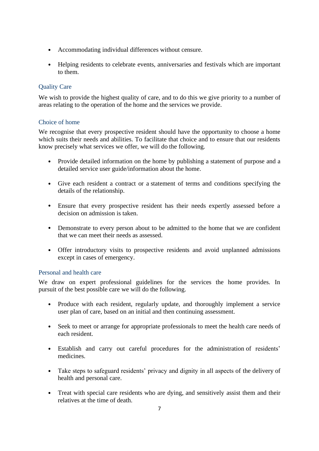- Accommodating individual differences without censure.
- Helping residents to celebrate events, anniversaries and festivals which are important to them.

# Quality Care

We wish to provide the highest quality of care, and to do this we give priority to a number of areas relating to the operation of the home and the services we provide.

# Choice of home

We recognise that every prospective resident should have the opportunity to choose a home which suits their needs and abilities. To facilitate that choice and to ensure that our residents know precisely what services we offer, we will do the following.

- Provide detailed information on the home by publishing a statement of purpose and a detailed service user guide/information about the home.
- Give each resident a contract or a statement of terms and conditions specifying the details of the relationship.
- Ensure that every prospective resident has their needs expertly assessed before a decision on admission is taken.
- Demonstrate to every person about to be admitted to the home that we are confident that we can meet their needs as assessed.
- Offer introductory visits to prospective residents and avoid unplanned admissions except in cases of emergency.

# Personal and health care

We draw on expert professional guidelines for the services the home provides. In pursuit of the best possible care we will do the following.

- Produce with each resident, regularly update, and thoroughly implement a service user plan of care, based on an initial and then continuing assessment.
- Seek to meet or arrange for appropriate professionals to meet the health care needs of each resident.
- Establish and carry out careful procedures for the administration of residents' medicines.
- Take steps to safeguard residents' privacy and dignity in all aspects of the delivery of health and personal care.
- Treat with special care residents who are dying, and sensitively assist them and their relatives at the time of death.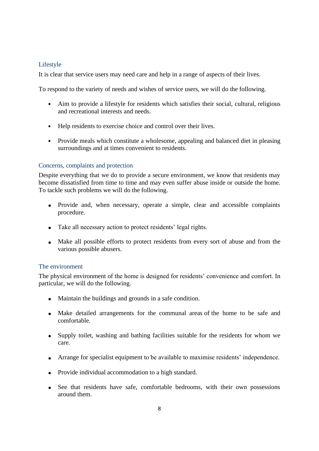# Lifestyle

It is clear that service users may need care and help in a range of aspects of their lives.

To respond to the variety of needs and wishes of service users, we will do the following.

- Aim to provide a lifestyle for residents which satisfies their social, cultural, religious and recreational interests and needs.
- Help residents to exercise choice and control over their lives.
- Provide meals which constitute a wholesome, appealing and balanced diet in pleasing surroundings and at times convenient to residents.

# Concerns, complaints and protection

Despite everything that we do to provide a secure environment, we know that residents may become dissatisfied from time to time and may even suffer abuse inside or outside the home. To tackle such problems we will do the following.

- Provide and, when necessary, operate a simple, clear and accessible complaints procedure.
- Take all necessary action to protect residents' legal rights.
- Make all possible efforts to protect residents from every sort of abuse and from the various possible abusers.

# The environment

The physical environment of the home is designed for residents' convenience and comfort. In particular, we will do the following.

- Maintain the buildings and grounds in a safe condition.
- Make detailed arrangements for the communal areas of the home to be safe and comfortable.
- Supply toilet, washing and bathing facilities suitable for the residents for whom we care.
- Arrange for specialist equipment to be available to maximise residents' independence.
- Provide individual accommodation to a high standard.
- See that residents have safe, comfortable bedrooms, with their own possessions around them.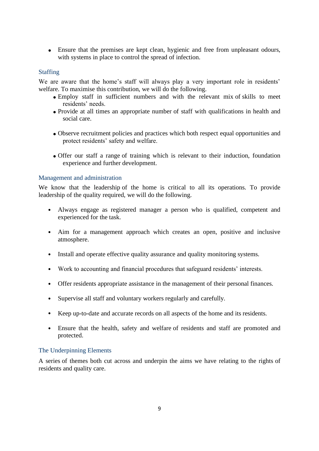• Ensure that the premises are kept clean, hygienic and free from unpleasant odours, with systems in place to control the spread of infection.

# Staffing

We are aware that the home's staff will always play a very important role in residents' welfare. To maximise this contribution, we will do the following.

- Employ staff in sufficient numbers and with the relevant mix of skills to meet residents' needs.
- Provide at all times an appropriate number of staff with qualifications in health and social care.
- Observe recruitment policies and practices which both respect equal opportunities and protect residents' safety and welfare.
- Offer our staff a range of training which is relevant to their induction, foundation experience and further development.

#### Management and administration

We know that the leadership of the home is critical to all its operations. To provide leadership of the quality required, we will do the following.

- Always engage as registered manager a person who is qualified, competent and experienced for the task.
- Aim for a management approach which creates an open, positive and inclusive atmosphere.
- Install and operate effective quality assurance and quality monitoring systems.
- Work to accounting and financial procedures that safeguard residents' interests.
- Offer residents appropriate assistance in the management of their personal finances.
- Supervise all staff and voluntary workers regularly and carefully.
- Keep up-to-date and accurate records on all aspects of the home and its residents.
- Ensure that the health, safety and welfare of residents and staff are promoted and protected.

#### The Underpinning Elements

A series of themes both cut across and underpin the aims we have relating to the rights of residents and quality care.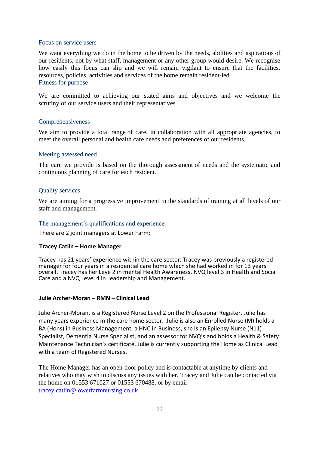#### Focus on service users

We want everything we do in the home to be driven by the needs, abilities and aspirations of our residents, not by what staff, management or any other group would desire. We recognise how easily this focus can slip and we will remain vigilant to ensure that the facilities, resources, policies, activities and services of the home remain resident-led. Fitness for purpose

We are committed to achieving our stated aims and objectives and we welcome the scrutiny of our service users and their representatives.

#### Comprehensiveness

We aim to provide a total range of care, in collaboration with all appropriate agencies, to meet the overall personal and health care needs and preferences of our residents.

#### Meeting assessed need

The care we provide is based on the thorough assessment of needs and the systematic and continuous planning of care for each resident.

#### Quality services

We are aiming for a progressive improvement in the standards of training at all levels of our staff and management.

#### The management's qualifications and experience

There are 2 joint managers at Lower Farm:

#### **Tracey Catlin – Home Manager**

Tracey has 21 years' experience within the care sector. Tracey was previously a registered manager for four years in a residential care home which she had worked in for 13 years overall. Tracey has her Leve 2 in mental Health Awareness, NVQ level 3 in Health and Social Care and a NVQ Level 4 in Leadership and Management.

#### **Julie Archer-Moran – RMN – Clinical Lead**

Julie Archer-Moran, is a Registered Nurse Level 2 on the Professional Register. Julie has many years experience in the care home sector. Julie is also an Enrolled Nurse (M) holds a BA (Hons) in Business Management, a HNC in Business, she is an Epilepsy Nurse (N11) Specialist, Dementia Nurse Specialist, and an assessor for NVQ's and holds a Health & Safety Maintenance Technician's certificate. Julie is currently supporting the Home as Clinical Lead with a team of Registered Nurses.

The Home Manager has an open-door policy and is contactable at anytime by clients and relatives who may wish to discuss any issues with her. Tracey and Julie can be contacted via the home on 01553 671027 or 01553 670488. or by email [tracey.catlin@lowerfarmnursing.co.uk](mailto:tracey.catlin@lowerfarmnursing.co.uk)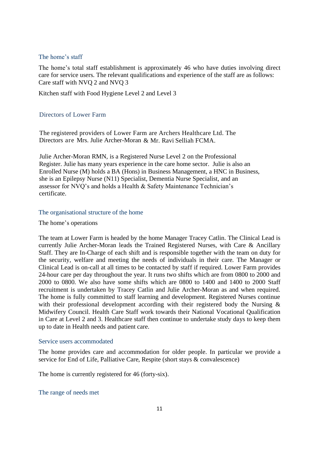## The home's staff

The home's total staff establishment is approximately 46 who have duties involving direct care for service users. The relevant qualifications and experience of the staff are as follows: Care staff with NVQ 2 and NVQ 3

Kitchen staff with Food Hygiene Level 2 and Level 3

# Directors of Lower Farm

The registered providers of Lower Farm are Archers Healthcare Ltd. The Directors are Mrs. Julie Archer-Moran & Mr. Ravi Selliah FCMA.

Julie Archer-Moran RMN, is a Registered Nurse Level 2 on the Professional Register. Julie has many years experience in the care home sector. Julie is also an Enrolled Nurse (M) holds a BA (Hons) in Business Management, a HNC in Business, she is an Epilepsy Nurse (N11) Specialist, Dementia Nurse Specialist, and an assessor for NVQ's and holds a Health & Safety Maintenance Technician's certificate.

#### The organisational structure of the home

#### The home's operations

The team at Lower Farm is headed by the home Manager Tracey Catlin. The Clinical Lead is currently Julie Archer-Moran leads the Trained Registered Nurses, with Care & Ancillary Staff. They are In-Charge of each shift and is responsible together with the team on duty for the security, welfare and meeting the needs of individuals in their care. The Manager or Clinical Lead is on-call at all times to be contacted by staff if required. Lower Farm provides 24-hour care per day throughout the year. It runs two shifts which are from 0800 to 2000 and 2000 to 0800. We also have some shifts which are 0800 to 1400 and 1400 to 2000 Staff recruitment is undertaken by Tracey Catlin and Julie Archer-Moran as and when required. The home is fully committed to staff learning and development. Registered Nurses continue with their professional development according with their registered body the Nursing & Midwifery Council. Health Care Staff work towards their National Vocational Qualification in Care at Level 2 and 3. Healthcare staff then continue to undertake study days to keep them up to date in Health needs and patient care.

#### Service users accommodated

The home provides care and accommodation for older people. In particular we provide a service for End of Life, Palliative Care, Respite (short stays & convalescence)

The home is currently registered for 46 (forty-six).

#### The range of needs met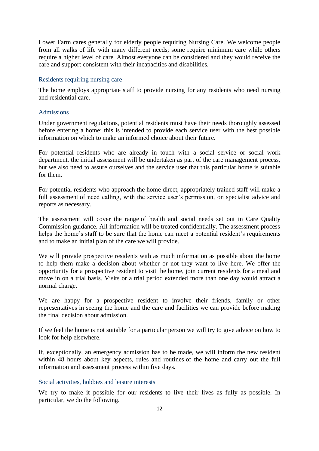Lower Farm cares generally for elderly people requiring Nursing Care. We welcome people from all walks of life with many different needs; some require minimum care while others require a higher level of care. Almost everyone can be considered and they would receive the care and support consistent with their incapacities and disabilities.

#### Residents requiring nursing care

The home employs appropriate staff to provide nursing for any residents who need nursing and residential care.

#### Admissions

Under government regulations, potential residents must have their needs thoroughly assessed before entering a home; this is intended to provide each service user with the best possible information on which to make an informed choice about their future.

For potential residents who are already in touch with a social service or social work department, the initial assessment will be undertaken as part of the care management process, but we also need to assure ourselves and the service user that this particular home is suitable for them.

For potential residents who approach the home direct, appropriately trained staff will make a full assessment of need calling, with the service user's permission, on specialist advice and reports as necessary.

The assessment will cover the range of health and social needs set out in Care Quality Commission guidance. All information will be treated confidentially. The assessment process helps the home's staff to be sure that the home can meet a potential resident's requirements and to make an initial plan of the care we will provide.

We will provide prospective residents with as much information as possible about the home to help them make a decision about whether or not they want to live here. We offer the opportunity for a prospective resident to visit the home, join current residents for a meal and move in on a trial basis. Visits or a trial period extended more than one day would attract a normal charge.

We are happy for a prospective resident to involve their friends, family or other representatives in seeing the home and the care and facilities we can provide before making the final decision about admission.

If we feel the home is not suitable for a particular person we will try to give advice on how to look for help elsewhere.

If, exceptionally, an emergency admission has to be made, we will inform the new resident within 48 hours about key aspects, rules and routines of the home and carry out the full information and assessment process within five days.

#### Social activities, hobbies and leisure interests

We try to make it possible for our residents to live their lives as fully as possible. In particular, we do the following.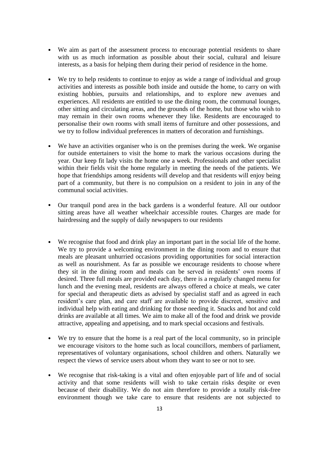- We aim as part of the assessment process to encourage potential residents to share with us as much information as possible about their social, cultural and leisure interests, as a basis for helping them during their period of residence in the home.
- We try to help residents to continue to enjoy as wide a range of individual and group activities and interests as possible both inside and outside the home, to carry on with existing hobbies, pursuits and relationships, and to explore new avenues and experiences. All residents are entitled to use the dining room, the communal lounges, other sitting and circulating areas, and the grounds of the home, but those who wish to may remain in their own rooms whenever they like. Residents are encouraged to personalise their own rooms with small items of furniture and other possessions, and we try to follow individual preferences in matters of decoration and furnishings.
- We have an activities organiser who is on the premises during the week. We organise for outside entertainers to visit the home to mark the various occasions during the year. Our keep fit lady visits the home one a week. Professionals and other specialist within their fields visit the home regularly in meeting the needs of the patients. We hope that friendships among residents will develop and that residents will enjoy being part of a community, but there is no compulsion on a resident to join in any of the communal social activities.
- Our tranquil pond area in the back gardens is a wonderful feature. All our outdoor sitting areas have all weather wheelchair accessible routes. Charges are made for hairdressing and the supply of daily newspapers to our residents
- We recognise that food and drink play an important part in the social life of the home. We try to provide a welcoming environment in the dining room and to ensure that meals are pleasant unhurried occasions providing opportunities for social interaction as well as nourishment. As far as possible we encourage residents to choose where they sit in the dining room and meals can be served in residents' own rooms if desired. Three full meals are provided each day, there is a regularly changed menu for lunch and the evening meal, residents are always offered a choice at meals, we cater for special and therapeutic diets as advised by specialist staff and as agreed in each resident's care plan, and care staff are available to provide discreet, sensitive and individual help with eating and drinking for those needing it. Snacks and hot and cold drinks are available at all times. We aim to make all of the food and drink we provide attractive, appealing and appetising, and to mark special occasions and festivals.
- We try to ensure that the home is a real part of the local community, so in principle we encourage visitors to the home such as local councillors, members of parliament, representatives of voluntary organisations, school children and others. Naturally we respect the views of service users about whom they want to see or not to see.
- We recognise that risk-taking is a vital and often enjoyable part of life and of social activity and that some residents will wish to take certain risks despite or even because of their disability. We do not aim therefore to provide a totally risk-free environment though we take care to ensure that residents are not subjected to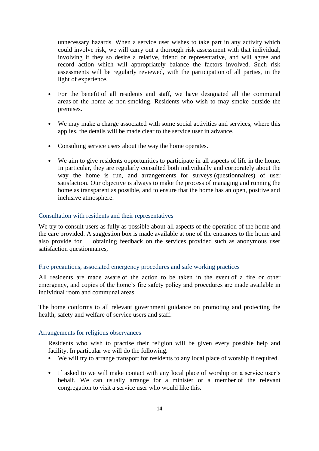unnecessary hazards. When a service user wishes to take part in any activity which could involve risk, we will carry out a thorough risk assessment with that individual, involving if they so desire a relative, friend or representative, and will agree and record action which will appropriately balance the factors involved. Such risk assessments will be regularly reviewed, with the participation of all parties, in the light of experience.

- For the benefit of all residents and staff, we have designated all the communal areas of the home as non-smoking. Residents who wish to may smoke outside the premises.
- We may make a charge associated with some social activities and services; where this applies, the details will be made clear to the service user in advance.
- Consulting service users about the way the home operates.
- We aim to give residents opportunities to participate in all aspects of life in the home. In particular, they are regularly consulted both individually and corporately about the way the home is run, and arrangements for surveys (questionnaires) of user satisfaction. Our objective is always to make the process of managing and running the home as transparent as possible, and to ensure that the home has an open, positive and inclusive atmosphere.

#### Consultation with residents and their representatives

We try to consult users as fully as possible about all aspects of the operation of the home and the care provided. A suggestion box is made available at one of the entrances to the home and also provide for obtaining feedback on the services provided such as anonymous user satisfaction questionnaires,

## Fire precautions, associated emergency procedures and safe working practices

All residents are made aware of the action to be taken in the event of a fire or other emergency, and copies of the home's fire safety policy and procedures are made available in individual room and communal areas.

The home conforms to all relevant government guidance on promoting and protecting the health, safety and welfare of service users and staff.

#### Arrangements for religious observances

Residents who wish to practise their religion will be given every possible help and facility. In particular we will do the following.

- We will try to arrange transport for residents to any local place of worship if required.
- If asked to we will make contact with any local place of worship on a service user's behalf. We can usually arrange for a minister or a member of the relevant congregation to visit a service user who would like this.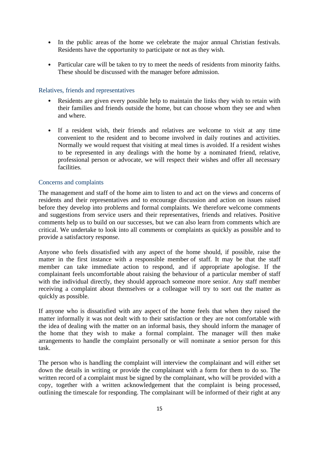- In the public areas of the home we celebrate the major annual Christian festivals. Residents have the opportunity to participate or not as they wish.
- Particular care will be taken to try to meet the needs of residents from minority faiths. These should be discussed with the manager before admission.

#### Relatives, friends and representatives

- Residents are given every possible help to maintain the links they wish to retain with their families and friends outside the home, but can choose whom they see and when and where.
- If a resident wish, their friends and relatives are welcome to visit at any time convenient to the resident and to become involved in daily routines and activities. Normally we would request that visiting at meal times is avoided. If a resident wishes to be represented in any dealings with the home by a nominated friend, relative, professional person or advocate, we will respect their wishes and offer all necessary facilities.

## Concerns and complaints

The management and staff of the home aim to listen to and act on the views and concerns of residents and their representatives and to encourage discussion and action on issues raised before they develop into problems and formal complaints. We therefore welcome comments and suggestions from service users and their representatives, friends and relatives. Positive comments help us to build on our successes, but we can also learn from comments which are critical. We undertake to look into all comments or complaints as quickly as possible and to provide a satisfactory response.

Anyone who feels dissatisfied with any aspect of the home should, if possible, raise the matter in the first instance with a responsible member of staff. It may be that the staff member can take immediate action to respond, and if appropriate apologise. If the complainant feels uncomfortable about raising the behaviour of a particular member of staff with the individual directly, they should approach someone more senior. Any staff member receiving a complaint about themselves or a colleague will try to sort out the matter as quickly as possible.

If anyone who is dissatisfied with any aspect of the home feels that when they raised the matter informally it was not dealt with to their satisfaction or they are not comfortable with the idea of dealing with the matter on an informal basis, they should inform the manager of the home that they wish to make a formal complaint. The manager will then make arrangements to handle the complaint personally or will nominate a senior person for this task.

The person who is handling the complaint will interview the complainant and will either set down the details in writing or provide the complainant with a form for them to do so. The written record of a complaint must be signed by the complainant, who will be provided with a copy, together with a written acknowledgement that the complaint is being processed, outlining the timescale for responding. The complainant will be informed of their right at any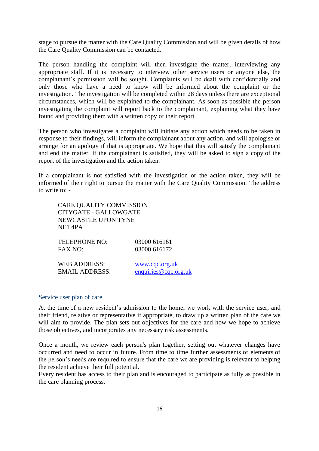stage to pursue the matter with the Care Quality Commission and will be given details of how the Care Quality Commission can be contacted.

The person handling the complaint will then investigate the matter, interviewing any appropriate staff. If it is necessary to interview other service users or anyone else, the complainant's permission will be sought. Complaints will be dealt with confidentially and only those who have a need to know will be informed about the complaint or the investigation. The investigation will be completed within 28 days unless there are exceptional circumstances, which will be explained to the complainant. As soon as possible the person investigating the complaint will report back to the complainant, explaining what they have found and providing them with a written copy of their report.

The person who investigates a complaint will initiate any action which needs to be taken in response to their findings, will inform the complainant about any action, and will apologise or arrange for an apology if that is appropriate. We hope that this will satisfy the complainant and end the matter. If the complainant is satisfied, they will be asked to sign a copy of the report of the investigation and the action taken.

If a complainant is not satisfied with the investigation or the action taken, they will be informed of their right to pursue the matter with the Care Quality Commission. The address to write to: -

| CARE QUALITY COMMISSION<br><b>CITYGATE - GALLOWGATE</b><br>NEWCASTLE UPON TYNE<br>NE1 4PA |                      |  |
|-------------------------------------------------------------------------------------------|----------------------|--|
| TELEPHONE NO:                                                                             | 03000 616161         |  |
| FAX NO:                                                                                   | 03000 616172         |  |
| <b>WEB ADDRESS:</b>                                                                       | www.cqc.org.uk       |  |
| <b>EMAIL ADDRESS:</b>                                                                     | enquiries@cqc.org.uk |  |

#### Service user plan of care

At the time of a new resident's admission to the home, we work with the service user, and their friend, relative or representative if appropriate, to draw up a written plan of the care we will aim to provide. The plan sets out objectives for the care and how we hope to achieve those objectives, and incorporates any necessary risk assessments.

Once a month, we review each person's plan together, setting out whatever changes have occurred and need to occur in future. From time to time further assessments of elements of the person's needs are required to ensure that the care we are providing is relevant to helping the resident achieve their full potential.

Every resident has access to their plan and is encouraged to participate as fully as possible in the care planning process.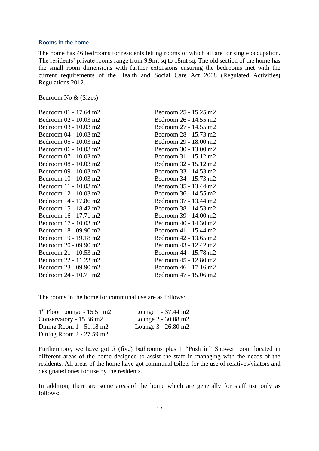#### Rooms in the home

The home has 46 bedrooms for residents letting rooms of which all are for single occupation. The residents' private rooms range from 9.9mt sq to 18mt sq. The old section of the home has the small room dimensions with further extensions ensuring the bedrooms met with the current requirements of the Health and Social Care Act 2008 (Regulated Activities) Regulations 2012.

Bedroom No & (Sizes)

| Bedroom 01 - 17.64 m2 | Bedroom 25 - 15.25 m2 |
|-----------------------|-----------------------|
| Bedroom 02 - 10.03 m2 | Bedroom 26 - 14.55 m2 |
| Bedroom 03 - 10.03 m2 | Bedroom 27 - 14.55 m2 |
| Bedroom 04 - 10.03 m2 | Bedroom 28 - 15.73 m2 |
| Bedroom 05 - 10.03 m2 | Bedroom 29 - 18.00 m2 |
| Bedroom 06 - 10.03 m2 | Bedroom 30 - 13.00 m2 |
| Bedroom 07 - 10.03 m2 | Bedroom 31 - 15.12 m2 |
| Bedroom 08 - 10.03 m2 | Bedroom 32 - 15.12 m2 |
| Bedroom 09 - 10.03 m2 | Bedroom 33 - 14.53 m2 |
| Bedroom 10 - 10.03 m2 | Bedroom 34 - 15.73 m2 |
| Bedroom 11 - 10.03 m2 | Bedroom 35 - 13.44 m2 |
| Bedroom 12 - 10.03 m2 | Bedroom 36 - 14.55 m2 |
| Bedroom 14 - 17.86 m2 | Bedroom 37 - 13.44 m2 |
| Bedroom 15 - 18.42 m2 | Bedroom 38 - 14.53 m2 |
| Bedroom 16 - 17.71 m2 | Bedroom 39 - 14.00 m2 |
| Bedroom 17 - 10.03 m2 | Bedroom 40 - 14.30 m2 |
| Bedroom 18 - 09.90 m2 | Bedroom 41 - 15.44 m2 |
| Bedroom 19 - 19.18 m2 | Bedroom 42 - 13.65 m2 |
| Bedroom 20 - 09.90 m2 | Bedroom 43 - 12.42 m2 |
| Bedroom 21 - 10.53 m2 | Bedroom 44 - 15.78 m2 |
| Bedroom 22 - 11.23 m2 | Bedroom 45 - 12.80 m2 |
| Bedroom 23 - 09.90 m2 | Bedroom 46 - 17.16 m2 |
| Bedroom 24 - 10.71 m2 | Bedroom 47 - 15.06 m2 |

The rooms in the home for communal use are as follows:

| $1st$ Floor Lounge - 15.51 m2          | Lounge 1 - 37.44 m2 |
|----------------------------------------|---------------------|
| Conservatory - $15.36$ m <sup>2</sup>  | Lounge 2 - 30.08 m2 |
| Dining Room $1 - 51.18$ m <sup>2</sup> | Lounge 3 - 26.80 m2 |
| Dining Room 2 - 27.59 m2               |                     |

Furthermore, we have got 5 (five) bathrooms plus 1 "Push in" Shower room located in different areas of the home designed to assist the staff in managing with the needs of the residents. All areas of the home have got communal toilets for the use of relatives/visitors and designated ones for use by the residents.

In addition, there are some areas of the home which are generally for staff use only as follows: